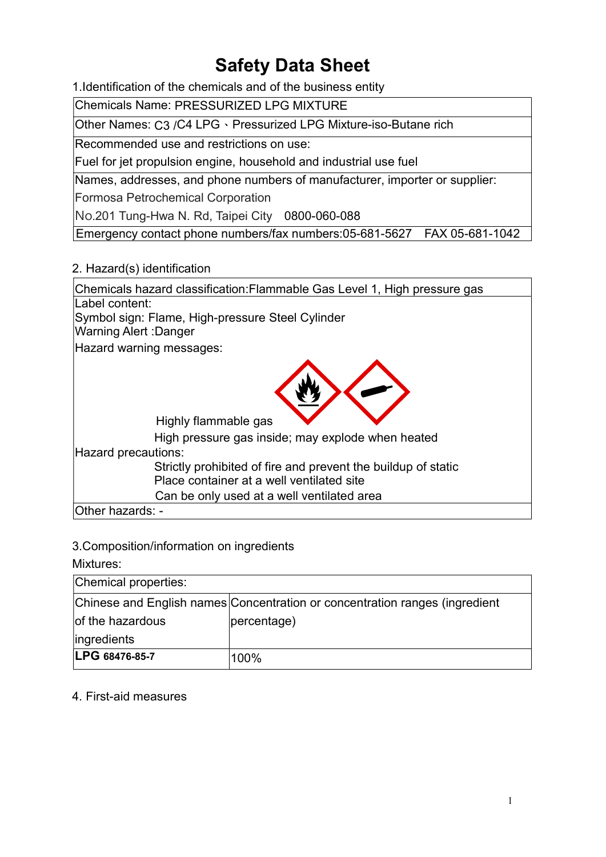# Safety Data Sheet

1.Identification of the chemicals and of the business entity

Chemicals Name: PRESSURIZED LPG MIXTURE

Other Names: C3 /C4 LPG、Pressurized LPG Mixture-iso-Butane rich

Recommended use and restrictions on use:

Fuel for jet propulsion engine, household and industrial use fuel

Names, addresses, and phone numbers of manufacturer, importer or supplier:

Formosa Petrochemical Corporation

No.201 Tung-Hwa N. Rd, Taipei City 0800-060-088

Emergency contact phone numbers/fax numbers:05-681-5627 FAX 05-681-1042

#### 2. Hazard(s) identification

| Chemicals hazard classification: Flammable Gas Level 1, High pressure gas |
|---------------------------------------------------------------------------|
| Label content:                                                            |
| Symbol sign: Flame, High-pressure Steel Cylinder                          |
| Warning Alert :Danger                                                     |
| Hazard warning messages:                                                  |
| Highly flammable gas<br>High pressure gas inside; may explode when heated |
| Hazard precautions:                                                       |
| Strictly prohibited of fire and prevent the buildup of static             |
| Place container at a well ventilated site                                 |
| Can be only used at a well ventilated area                                |
| Other hazards: -                                                          |

|  |  | 3. Composition/information on ingredients |  |
|--|--|-------------------------------------------|--|
|  |  |                                           |  |

Mixtures:

| Chemical properties: |                                                                             |  |  |
|----------------------|-----------------------------------------------------------------------------|--|--|
|                      | Chinese and English names Concentration or concentration ranges (ingredient |  |  |
| of the hazardous     | percentage)                                                                 |  |  |
| ingredients          |                                                                             |  |  |
| LPG 68476-85-7       | 100%                                                                        |  |  |

#### 4. First-aid measures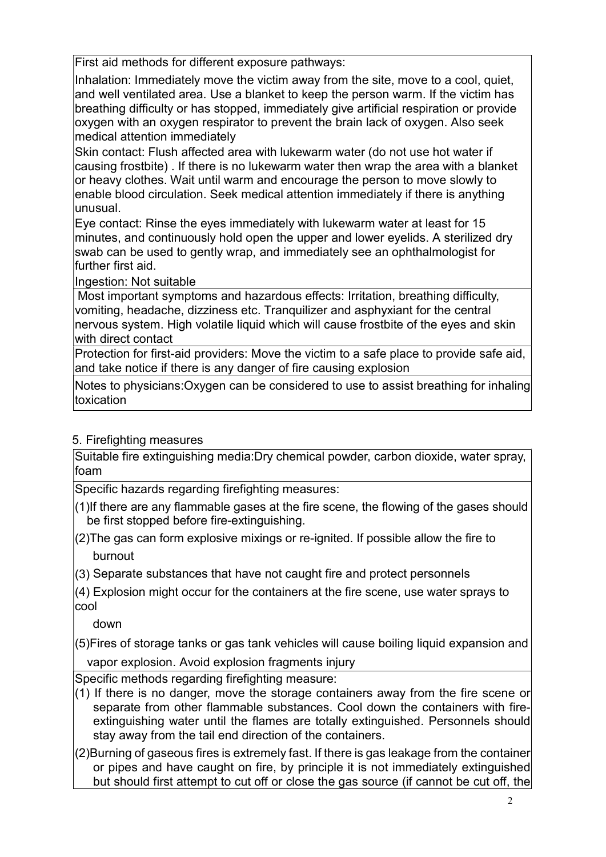First aid methods for different exposure pathways:

Inhalation: Immediately move the victim away from the site, move to a cool. quiet. and well ventilated area. Use a blanket to keep the person warm. If the victim has breathing difficulty or has stopped, immediately give artificial respiration or provide oxygen with an oxygen respirator to prevent the brain lack of oxygen. Also seek medical attention immediately

Skin contact: Flush affected area with lukewarm water (do not use hot water if causing frostbite) . If there is no lukewarm water then wrap the area with a blanket or heavy clothes. Wait until warm and encourage the person to move slowly to enable blood circulation. Seek medical attention immediately if there is anything unusual.

Eye contact: Rinse the eyes immediately with lukewarm water at least for 15 minutes, and continuously hold open the upper and lower eyelids. A sterilized dry swab can be used to gently wrap, and immediately see an ophthalmologist for further first aid.

Ingestion: Not suitable

Most important symptoms and hazardous effects: Irritation, breathing difficulty, vomiting, headache, dizziness etc. Tranquilizer and asphyxiant for the central nervous system. High volatile liquid which will cause frostbite of the eyes and skin with direct contact

Protection for first-aid providers: Move the victim to a safe place to provide safe aid, and take notice if there is any danger of fire causing explosion

Notes to physicians:Oxygen can be considered to use to assist breathing for inhaling toxication

#### 5. Firefighting measures

Suitable fire extinguishing media:Dry chemical powder, carbon dioxide, water spray, foam

Specific hazards regarding firefighting measures:

- (1)If there are any flammable gases at the fire scene, the flowing of the gases should be first stopped before fire-extinguishing.
- (2)The gas can form explosive mixings or re-ignited. If possible allow the fire to burnout
- (3) Separate substances that have not caught fire and protect personnels

(4) Explosion might occur for the containers at the fire scene, use water sprays to cool

down

(5)Fires of storage tanks or gas tank vehicles will cause boiling liquid expansion and vapor explosion. Avoid explosion fragments injury

Specific methods regarding firefighting measure:

 $(1)$  If there is no danger, move the storage containers away from the fire scene or separate from other flammable substances. Cool down the containers with fireextinguishing water until the flames are totally extinguished. Personnels should stay away from the tail end direction of the containers.

(2)Burning of gaseous fires is extremely fast. If there is gas leakage from the container or pipes and have caught on fire, by principle it is not immediately extinguished but should first attempt to cut off or close the gas source (if cannot be cut off, the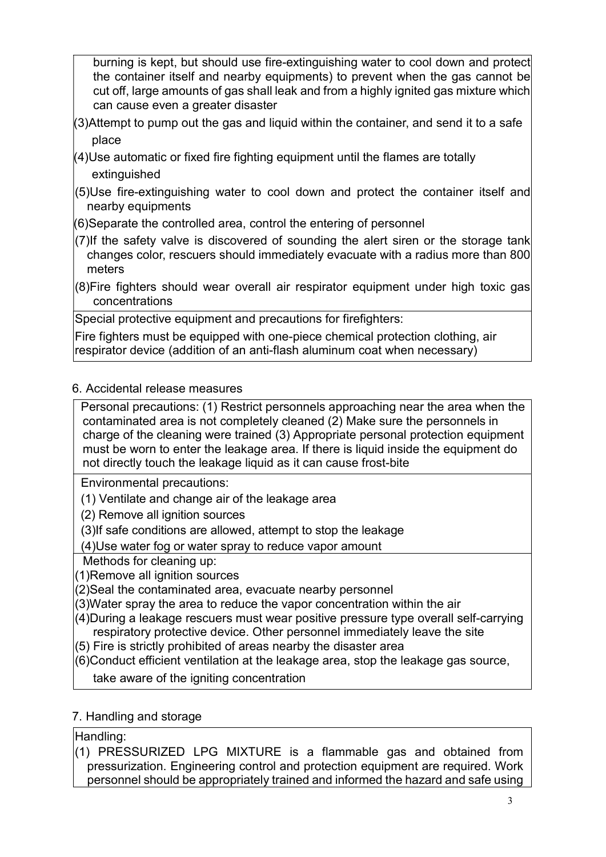burning is kept, but should use fire-extinguishing water to cool down and protect the container itself and nearby equipments) to prevent when the gas cannot be cut off, large amounts of gas shall leak and from a highly ignited gas mixture which can cause even a greater disaster

- $(3)$ Attempt to pump out the gas and liquid within the container, and send it to a safe place
- (4)Use automatic or fixed fire fighting equipment until the flames are totally extinguished
- (5)Use fire-extinguishing water to cool down and protect the container itself and nearby equipments
- (6)Separate the controlled area, control the entering of personnel
- (7)If the safety valve is discovered of sounding the alert siren or the storage tank changes color, rescuers should immediately evacuate with a radius more than 800 meters

(8)Fire fighters should wear overall air respirator equipment under high toxic gas concentrations

Special protective equipment and precautions for firefighters:

Fire fighters must be equipped with one-piece chemical protection clothing, air respirator device (addition of an anti-flash aluminum coat when necessary)

## 6. Accidental release measures

Personal precautions: (1) Restrict personnels approaching near the area when the contaminated area is not completely cleaned (2) Make sure the personnels in charge of the cleaning were trained (3) Appropriate personal protection equipment must be worn to enter the leakage area. If there is liquid inside the equipment do not directly touch the leakage liquid as it can cause frost-bite

Environmental precautions:

- (1) Ventilate and change air of the leakage area
- (2) Remove all ignition sources
- (3)If safe conditions are allowed, attempt to stop the leakage

(4)Use water fog or water spray to reduce vapor amount

Methods for cleaning up:

(1)Remove all ignition sources

- (2)Seal the contaminated area, evacuate nearby personnel
- (3)Water spray the area to reduce the vapor concentration within the air
- (4)During a leakage rescuers must wear positive pressure type overall self-carrying respiratory protective device. Other personnel immediately leave the site
- (5) Fire is strictly prohibited of areas nearby the disaster area
- (6)Conduct efficient ventilation at the leakage area, stop the leakage gas source,

take aware of the igniting concentration

## 7. Handling and storage

Handling:

(1) PRESSURIZED LPG MIXTURE is a flammable gas and obtained from pressurization. Engineering control and protection equipment are required. Work personnel should be appropriately trained and informed the hazard and safe using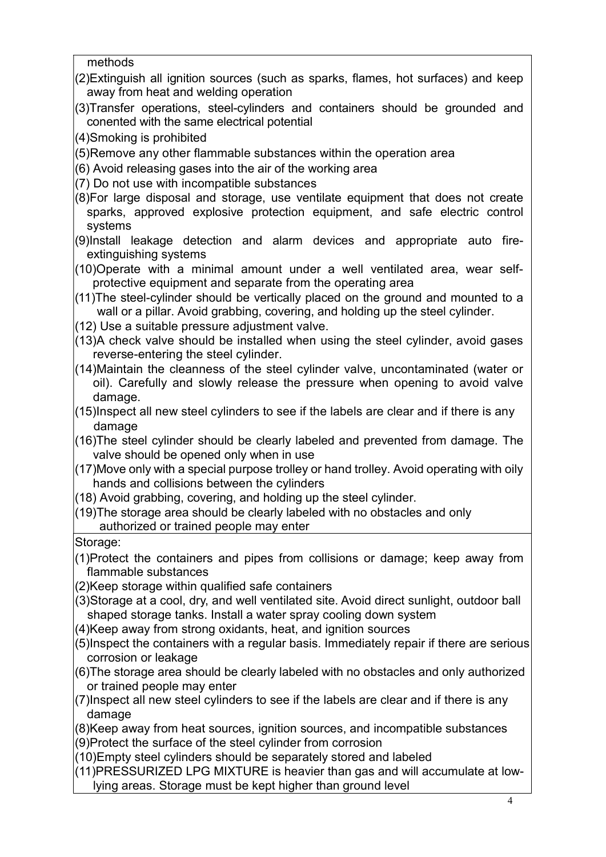methods

- (2)Extinguish all ignition sources (such as sparks, flames, hot surfaces) and keep away from heat and welding operation
- (3)Transfer operations, steel-cylinders and containers should be grounded and conented with the same electrical potential
- (4)Smoking is prohibited
- (5)Remove any other flammable substances within the operation area
- (6) Avoid releasing gases into the air of the working area
- (7) Do not use with incompatible substances
- (8)For large disposal and storage, use ventilate equipment that does not create sparks, approved explosive protection equipment, and safe electric control systems
- (9)Install leakage detection and alarm devices and appropriate auto fireextinguishing systems
- (10)Operate with a minimal amount under a well ventilated area, wear selfprotective equipment and separate from the operating area
- (11)The steel-cylinder should be vertically placed on the ground and mounted to a wall or a pillar. Avoid grabbing, covering, and holding up the steel cylinder.
- (12) Use a suitable pressure adjustment valve.
- $(13)$ A check valve should be installed when using the steel cylinder, avoid gases reverse-entering the steel cylinder.
- (14)Maintain the cleanness of the steel cylinder valve, uncontaminated (water or oil). Carefully and slowly release the pressure when opening to avoid valve damage.
- (15)Inspect all new steel cylinders to see if the labels are clear and if there is any damage
- (16)The steel cylinder should be clearly labeled and prevented from damage. The valve should be opened only when in use
- $(17)$ Move only with a special purpose trolley or hand trolley. Avoid operating with oily hands and collisions between the cylinders
- (18) Avoid grabbing, covering, and holding up the steel cylinder.
- (19)The storage area should be clearly labeled with no obstacles and only authorized or trained people may enter

#### Storage:

- (1)Protect the containers and pipes from collisions or damage; keep away from flammable substances
- (2)Keep storage within qualified safe containers
- (3)Storage at a cool, dry, and well ventilated site. Avoid direct sunlight, outdoor ball shaped storage tanks. Install a water spray cooling down system
- (4)Keep away from strong oxidants, heat, and ignition sources
- (5)Inspect the containers with a regular basis. Immediately repair if there are serious corrosion or leakage
- (6)The storage area should be clearly labeled with no obstacles and only authorized or trained people may enter
- $(7)$ Inspect all new steel cylinders to see if the labels are clear and if there is any damage
- (8)Keep away from heat sources, ignition sources, and incompatible substances
- (9)Protect the surface of the steel cylinder from corrosion
- (10)Empty steel cylinders should be separately stored and labeled
- (11)PRESSURIZED LPG MIXTURE is heavier than gas and will accumulate at lowlying areas. Storage must be kept higher than ground level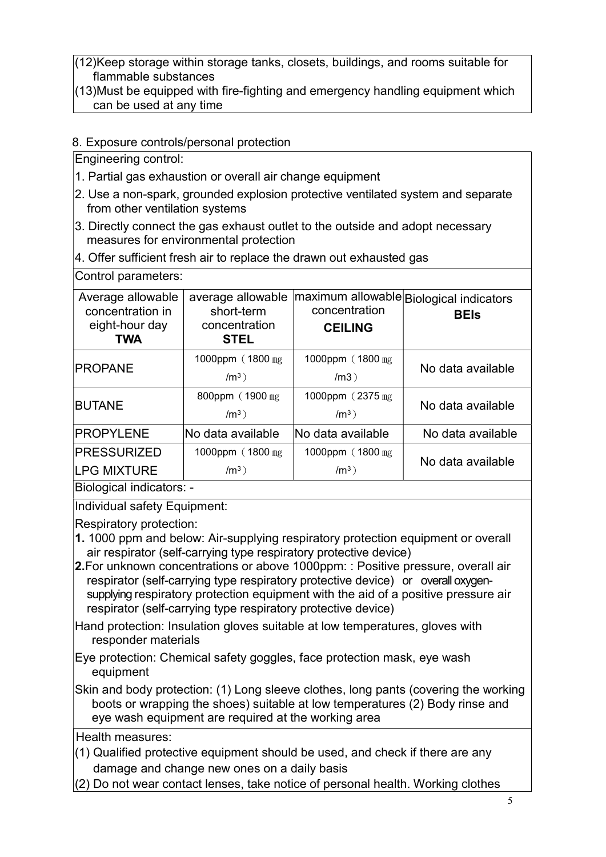(12)Keep storage within storage tanks, closets, buildings, and rooms suitable for flammable substances

(13)Must be equipped with fire-fighting and emergency handling equipment which can be used at any time

#### 8. Exposure controls/personal protection

Engineering control:

- 1. Partial gas exhaustion or overall air change equipment
- 2. Use a non-spark, grounded explosion protective ventilated system and separate from other ventilation systems
- 3. Directly connect the gas exhaust outlet to the outside and adopt necessary measures for environmental protection
- 4. Offer sufficient fresh air to replace the drawn out exhausted gas

| Control parameters:                                                   |                                                                 |                                 |                                                         |  |
|-----------------------------------------------------------------------|-----------------------------------------------------------------|---------------------------------|---------------------------------------------------------|--|
| Average allowable<br>concentration in<br>eight-hour day<br><b>TWA</b> | average allowable<br>short-term<br>concentration<br><b>STEL</b> | concentration<br><b>CEILING</b> | maximum allowable Biological indicators <br><b>BEIs</b> |  |
| <b>PROPANE</b>                                                        | 1000ppm (1800 mg)<br>$/m3$ )                                    | 1000ppm (1800 mg)<br>/m3)       | No data available                                       |  |
| <b>BUTANE</b>                                                         | 800ppm (1900 mg)<br>$/m^3$ )                                    | 1000ppm (2375 mg)<br>$/m3$ )    | No data available                                       |  |
| PROPYLENE                                                             | lNo data available                                              | No data available               | No data available                                       |  |
| PRESSURIZED                                                           | 1000ppm (1800 mg)                                               | 1000ppm (1800 mg)               |                                                         |  |
| <b>LPG MIXTURE</b>                                                    | $/m3$ )                                                         | $/m3$ )                         | No data available                                       |  |
| $\mathsf{D}$ iological indicatore:                                    |                                                                 |                                 |                                                         |  |

Biological indicators: -

Individual safety Equipment:

Respiratory protection:

- 1. 1000 ppm and below: Air-supplying respiratory protection equipment or overall air respirator (self-carrying type respiratory protective device)
- 2.For unknown concentrations or above 1000ppm: : Positive pressure, overall air respirator (self-carrying type respiratory protective device) or overall oxygensupplying respiratory protection equipment with the aid of a positive pressure air respirator (self-carrying type respiratory protective device)

Hand protection: Insulation gloves suitable at low temperatures, gloves with responder materials

Eye protection: Chemical safety goggles, face protection mask, eye wash equipment

Skin and body protection: (1) Long sleeve clothes, long pants (covering the working boots or wrapping the shoes) suitable at low temperatures (2) Body rinse and eye wash equipment are required at the working area

Health measures:

- $(1)$  Qualified protective equipment should be used, and check if there are any damage and change new ones on a daily basis
- (2) Do not wear contact lenses, take notice of personal health. Working clothes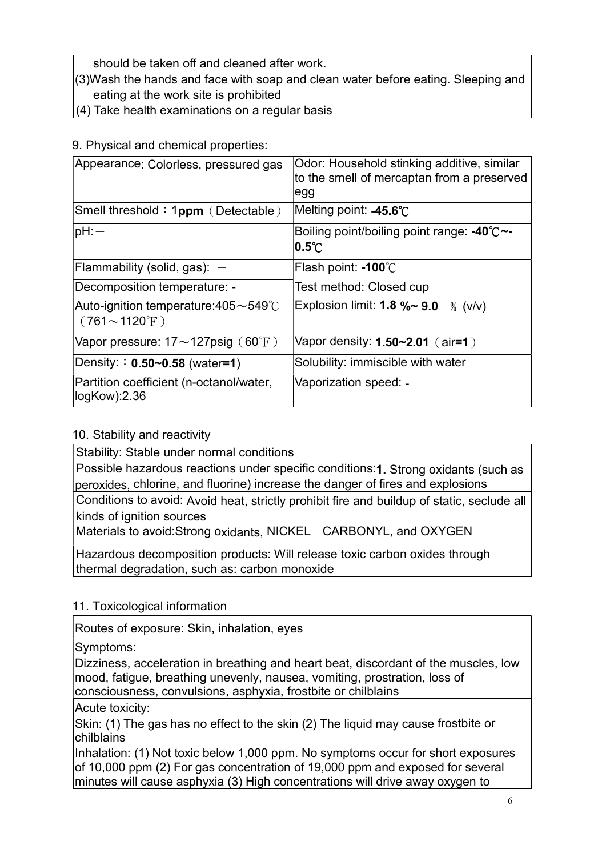should be taken off and cleaned after work.

- (3)Wash the hands and face with soap and clean water before eating. Sleeping and eating at the work site is prohibited
- $(4)$  Take health examinations on a regular basis

9. Physical and chemical properties:

| Appearance: Colorless, pressured gas                                            | Odor: Household stinking additive, similar<br>to the smell of mercaptan from a preserved<br>egg |
|---------------------------------------------------------------------------------|-------------------------------------------------------------------------------------------------|
| Smell threshold: 1 $ppm$ (Detectable)                                           | Melting point: -45.6 $^{\circ}\textrm{C}$                                                       |
| $ pH$ :                                                                         | Boiling point/boiling point range: -40℃~-<br>$ {\bf 0.5\degree C}$                              |
| Flammability (solid, gas): $-$                                                  | Flash point: -100°C                                                                             |
| Decomposition temperature: -                                                    | Test method: Closed cup                                                                         |
| Auto-ignition temperature:405 $\sim$ 549 $^\circ$ C<br>$(761\sim1120^{\circ}F)$ | Explosion limit: $1.8 \%$ - $9.0$<br>% $(v/v)$                                                  |
| Vapor pressure: $17{\sim}127$ psig (60°F)                                       | Vapor density: $1.50 - 2.01$ (air=1)                                                            |
| Density: $: 0.50 - 0.58$ (water=1)                                              | Solubility: immiscible with water                                                               |
| Partition coefficient (n-octanol/water,<br>$logKow$ : $2.36$                    | Vaporization speed: -                                                                           |

## 10. Stability and reactivity

Stability: Stable under normal conditions

Possible hazardous reactions under specific conditions:1. Strong oxidants (such as peroxides, chlorine, and fluorine) increase the danger of fires and explosions

Conditions to avoid: Avoid heat, strictly prohibit fire and buildup of static, seclude all kinds of ignition sources

Materials to avoid:Strong oxidants, NICKEL CARBONYL, and OXYGEN

Hazardous decomposition products: Will release toxic carbon oxides through thermal degradation, such as: carbon monoxide

## 11. Toxicological information

Routes of exposure: Skin, inhalation, eyes

Symptoms:

Dizziness, acceleration in breathing and heart beat, discordant of the muscles, low mood, fatigue, breathing unevenly, nausea, vomiting, prostration, loss of consciousness, convulsions, asphyxia, frostbite or chilblains

Acute toxicity:

Skin: (1) The gas has no effect to the skin (2) The liquid may cause frostbite or chilblains

Inhalation: (1) Not toxic below 1,000 ppm. No symptoms occur for short exposures of 10,000 ppm (2) For gas concentration of 19,000 ppm and exposed for several minutes will cause asphyxia (3) High concentrations will drive away oxygen to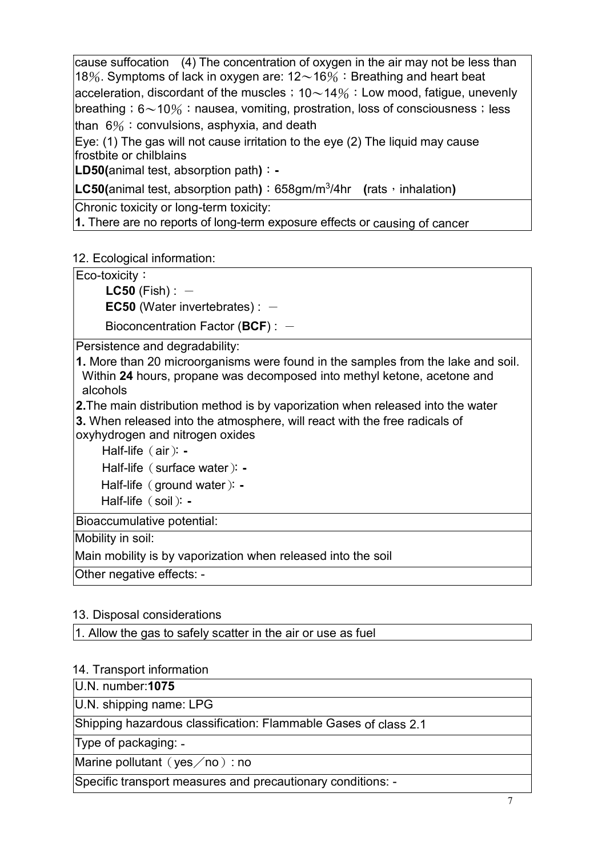cause suffocation (4) The concentration of oxygen in the air may not be less than 18%. Symptoms of lack in oxygen are:  $12{\sim}16\%$ : Breathing and heart beat acceleration, discordant of the muscles;  $10~14\%$ : Low mood, fatigue, unevenly breathing; 6~10%: nausea, vomiting, prostration, loss of consciousness; less than  $6\%$ : convulsions, asphyxia, and death

Eye: (1) The gas will not cause irritation to the eye (2) The liquid may cause frostbite or chilblains

**LD50(animal test, absorption path):** 

**LC50**(animal test, absorption path):  $658gm/m<sup>3</sup>/4hr$  (rats, inhalation)

Chronic toxicity or long-term toxicity:

1. There are no reports of long-term exposure effects or causing of cancer

12. Ecological information:

Eco-toxicity:

 $LC50$  (Fish) :  $-$ 

**EC50** (Water invertebrates) :  $-$ 

Bioconcentration Factor (BCF) :  $-$ 

Persistence and degradability:

1. More than 20 microorganisms were found in the samples from the lake and soil. Within 24 hours, propane was decomposed into methyl ketone, acetone and alcohols

2.The main distribution method is by vaporization when released into the water

3. When released into the atmosphere, will react with the free radicals of oxyhydrogen and nitrogen oxides

Half-life (air): -Half-life (surface water): -Half-life (ground water): -Half-life (soil): -

Bioaccumulative potential:

Mobility in soil:

Main mobility is by vaporization when released into the soil

Other negative effects: -

## 13. Disposal considerations

1. Allow the gas to safely scatter in the air or use as fuel

## 14. Transport information

U.N. number:1075

U.N. shipping name: LPG

Shipping hazardous classification: Flammable Gases of class 2.1

Type of packaging: -

Marine pollutant (yes  $/$  no): no

Specific transport measures and precautionary conditions: -